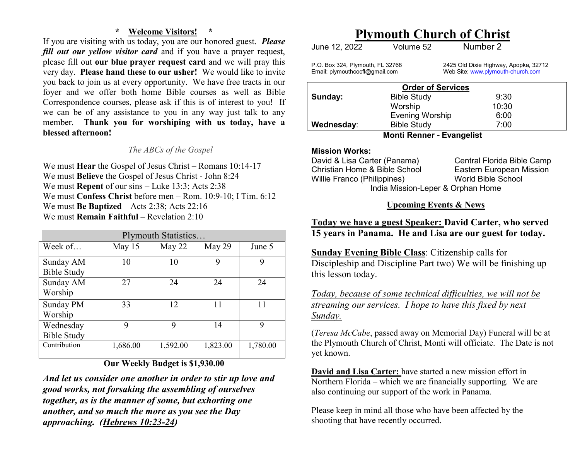## **\* Welcome Visitors! \***

 If you are visiting with us today, you are our honored guest. *Please fill out our yellow visitor card* and if you have a prayer request, please fill out **our blue prayer request card** and we will pray this very day. **Please hand these to our usher!** We would like to invite you back to join us at every opportunity. We have free tracts in our foyer and we offer both home Bible courses as well as Bible Correspondence courses, please ask if this is of interest to you! If we can be of any assistance to you in any way just talk to any member. **Thank you for worshiping with us today, have a blessed afternoon!** 

## *The ABCs of the Gospel*

We must **Hear** the Gospel of Jesus Christ – Romans 10:14-17 We must **Believe** the Gospel of Jesus Christ - John 8:24 We must **Repent** of our sins – Luke 13:3; Acts 2:38 We must **Confess Christ** before men – Rom. 10:9-10; I Tim. 6:12 We must **Be Baptized** – Acts 2:38; Acts 22:16 We must **Remain Faithful** – Revelation 2:10

| Plymouth Statistics             |          |          |          |          |  |
|---------------------------------|----------|----------|----------|----------|--|
| Week of                         | May 15   | May 22   | May 29   | June 5   |  |
| Sunday AM<br><b>Bible Study</b> | 10       | 10       | 9        | 9        |  |
| Sunday AM<br>Worship            | 27       | 24       | 24       | 24       |  |
| Sunday PM<br>Worship            | 33       | 12       | 11       | 11       |  |
| Wednesday<br><b>Bible Study</b> | q        | Q        | 14       | 9        |  |
| Contribution                    | 1,686.00 | 1,592.00 | 1,823.00 | 1,780.00 |  |

## **Our Weekly Budget is \$1,930.00**

*And let us consider one another in order to stir up love and good works, not forsaking the assembling of ourselves together, as is the manner of some, but exhorting oneanother, and so much the more as you see the Day approaching. (Hebrews 10:23-24)* 

## **Plymouth Church of Christ**

| June 12, 2022 | Volume 52 | Number 2 |
|---------------|-----------|----------|
|               |           |          |

P.O. Box 324, Plymouth, FL 32768 2425 Old Dixie Highway, Apopka, 32712<br>
Email: plymouthcocfl@gmail.com Web Site: www.plymouth-church.com Web Site: www.plymouth-church.com

| <b>Order of Services</b>    |                        |       |  |
|-----------------------------|------------------------|-------|--|
| Sunday:                     | <b>Bible Study</b>     | 9:30  |  |
|                             | Worship                | 10:30 |  |
|                             | <b>Evening Worship</b> | 6:00  |  |
| Wednesday:                  | <b>Bible Study</b>     | 7:00  |  |
| $M = 4$ ; Denner Fuennelist |                        |       |  |

#### **Monti Renner - Evangelist**

## **Mission Works:**

 David & Lisa Carter (Panama) Central Florida Bible Camp Christian Home & Bible School Eastern European Mission Willie Franco (Philippines) World Bible School India Mission-Leper & Orphan Home

## **Upcoming Events & News**

## **Today we have a guest Speaker: David Carter, who served 15 years in Panama. He and Lisa are our guest for today.**

**Sunday Evening Bible Class**: Citizenship calls for Discipleship and Discipline Part two) We will be finishing up this lesson today.

*Today, because of some technical difficulties, we will not be streaming our services. I hope to have this fixed by next Sunday.* 

(*Teresa McCabe*, passed away on Memorial Day) Funeral will be at the Plymouth Church of Christ, Monti will officiate. The Date is not yet known.

**David and Lisa Carter:** have started a new mission effort in Northern Florida – which we are financially supporting. We are also continuing our support of the work in Panama.

Please keep in mind all those who have been affected by the shooting that have recently occurred.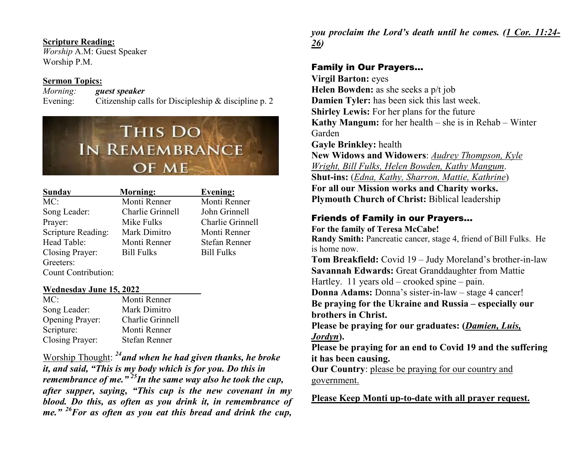## **Scripture Reading:**

 *Worship* A.M: Guest Speaker Worship P.M.

## **Sermon Topics:**

 *Morning: guest speaker*Evening: Citizenship calls for Discipleship & discipline p. 2

# THIS DO **IN REMEMBRANCE** OF ME

| <b>Sunday</b>       | <b>Morning:</b>   | <b>Evening:</b>      |
|---------------------|-------------------|----------------------|
| MC:                 | Monti Renner      | Monti Renner         |
| Song Leader:        | Charlie Grinnell  | John Grinnell        |
| Prayer:             | Mike Fulks        | Charlie Grinnell     |
| Scripture Reading:  | Mark Dimitro      | Monti Renner         |
| Head Table:         | Monti Renner      | <b>Stefan Renner</b> |
| Closing Prayer:     | <b>Bill Fulks</b> | <b>Bill Fulks</b>    |
| Greeters:           |                   |                      |
| Count Contribution: |                   |                      |

#### **Wednesday June 15, 2022**

| MC:                    | Monti Renner         |
|------------------------|----------------------|
| Song Leader:           | Mark Dimitro         |
| <b>Opening Prayer:</b> | Charlie Grinnell     |
| Scripture:             | Monti Renner         |
| Closing Prayer:        | <b>Stefan Renner</b> |

Worship Thought: *<sup>24</sup>and when he had given thanks, he broke it, and said, "This is my body which is for you. Do this in remembrance of me." <sup>25</sup>In the same way also he took the cup, after supper, saying, "This cup is the new covenant in my blood. Do this, as often as you drink it, in remembrance of me." <sup>26</sup>For as often as you eat this bread and drink the cup,*  *you proclaim the Lord's death until he comes. (1 Cor. 11:24-26)*

## Family in Our Prayers…

**Virgil Barton:** eyes **Helen Bowden:** as she seeks a p/t job **Damien Tyler:** has been sick this last week. **Shirley Lewis:** For her plans for the future **Kathy Mangum:** for her health – she is in Rehab – Winter Garden **Gayle Brinkley:** health **New Widows and Widowers**: *Audrey Thompson, Kyle Wright, Bill Fulks, Helen Bowden, Kathy Mangum*. **Shut-ins:** (*Edna, Kathy, Sharron, Mattie, Kathrine*) **For all our Mission works and Charity works.** 

**Plymouth Church of Christ:** Biblical leadership

## Friends of Family in our Prayers…

**For the family of Teresa McCabe! Randy Smith:** Pancreatic cancer, stage 4, friend of Bill Fulks. He is home now.

**Tom Breakfield:** Covid 19 – Judy Moreland's brother-in-law**Savannah Edwards:** Great Granddaughter from Mattie Hartley. 11 years old – crooked spine – pain.

 **Donna Adams:** Donna's sister-in-law – stage 4 cancer! **Be praying for the Ukraine and Russia – especially our brothers in Christ.** 

**Please be praying for our graduates: (***Damien, Luis, Jordyn***).** 

 **Please be praying for an end to Covid 19 and the suffering it has been causing.** 

 **Our Country**: please be praying for our country and government.

**Please Keep Monti up-to-date with all prayer request.**